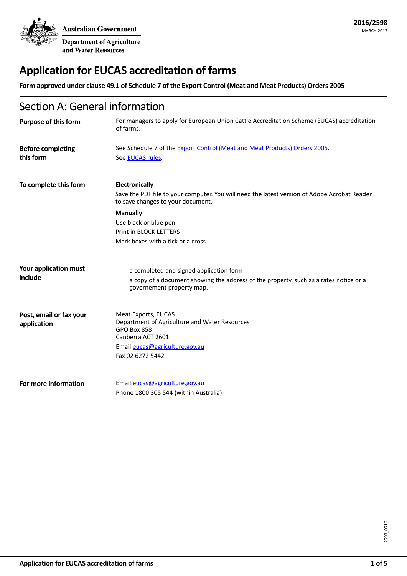**Australian Government** 

Department of Agriculture and Water Resources

# **Application for EUCAS accreditation of farms**

**Form approved under clause 49.1 of Schedule 7 of the Export Control (Meat and Meat Products) Orders 2005**

| Section A: General information         |                                                                                                                                                     |  |
|----------------------------------------|-----------------------------------------------------------------------------------------------------------------------------------------------------|--|
| <b>Purpose of this form</b>            | For managers to apply for European Union Cattle Accreditation Scheme (EUCAS) accreditation<br>of farms.                                             |  |
| <b>Before completing</b><br>this form  | See Schedule 7 of the Export Control (Meat and Meat Products) Orders 2005.<br>See EUCAS rules.                                                      |  |
| To complete this form                  | Electronically<br>Save the PDF file to your computer. You will need the latest version of Adobe Acrobat Reader<br>to save changes to your document. |  |
|                                        | <b>Manually</b>                                                                                                                                     |  |
|                                        | Use black or blue pen                                                                                                                               |  |
|                                        | Print in BLOCK LETTERS                                                                                                                              |  |
|                                        | Mark boxes with a tick or a cross                                                                                                                   |  |
| Your application must                  | a completed and signed application form                                                                                                             |  |
| include                                | a copy of a document showing the address of the property, such as a rates notice or a<br>governement property map.                                  |  |
| Post, email or fax your<br>application | Meat Exports, EUCAS<br>Department of Agriculture and Water Resources                                                                                |  |
|                                        | <b>GPO Box 858</b>                                                                                                                                  |  |
|                                        | Canberra ACT 2601                                                                                                                                   |  |
|                                        | Email eucas@agriculture.gov.au                                                                                                                      |  |
|                                        | Fax 02 6272 5442                                                                                                                                    |  |
| For more information                   | Email eucas@agriculture.gov.au                                                                                                                      |  |
|                                        | Phone 1800 305 544 (within Australia)                                                                                                               |  |
|                                        |                                                                                                                                                     |  |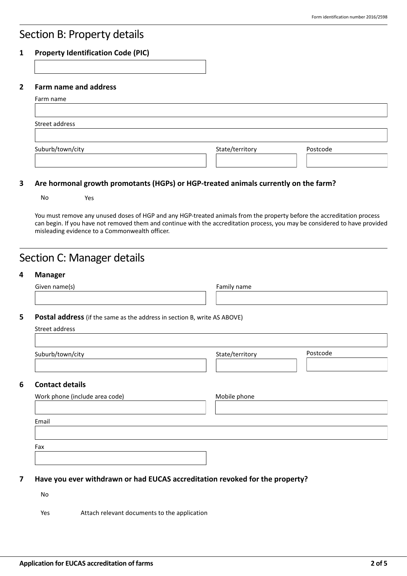# Section B: Property details

### **1 Property Identification Code (PIC)**

### **2 Farm name and address**

| Farm name        |                 |          |
|------------------|-----------------|----------|
| Street address   |                 |          |
| Suburb/town/city | State/territory | Postcode |
|                  |                 |          |

### **3 Are hormonal growth promotants (HGPs) or HGP-treated animals currently on the farm?**

No Yes

You must remove any unused doses of HGP and any HGP-treated animals from the property before the accreditation process can begin. If you have not removed them and continue with the accreditation process, you may be considered to have provided misleading evidence to a Commonwealth officer.

| <b>Manager</b>                                                           |                 |          |  |  |
|--------------------------------------------------------------------------|-----------------|----------|--|--|
| Given name(s)                                                            | Family name     |          |  |  |
| Postal address (if the same as the address in section B, write AS ABOVE) |                 |          |  |  |
| Street address                                                           |                 |          |  |  |
| Suburb/town/city                                                         | State/territory | Postcode |  |  |
|                                                                          |                 |          |  |  |
| <b>Contact details</b>                                                   |                 |          |  |  |
| Work phone (include area code)                                           | Mobile phone    |          |  |  |
| Email                                                                    |                 |          |  |  |
| Fax                                                                      |                 |          |  |  |
|                                                                          |                 |          |  |  |

No

Yes Mattach relevant documents to the application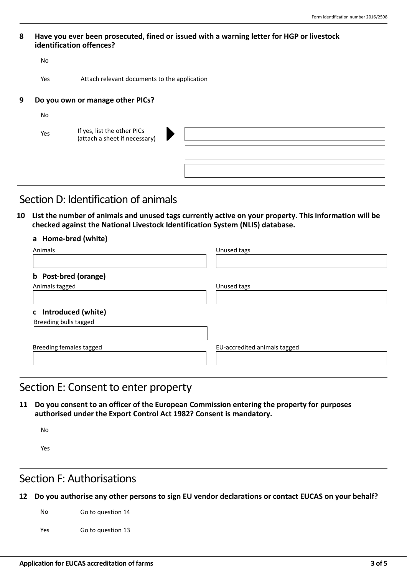#### **8 Have you ever been prosecuted, fined or issued with a warning letter for HGP or livestock identification offences?**

|   | No        |                                                              |
|---|-----------|--------------------------------------------------------------|
|   | Yes       | Attach relevant documents to the application                 |
| 9 |           | Do you own or manage other PICs?                             |
|   | <b>No</b> |                                                              |
|   | Yes       | If yes, list the other PICs<br>(attach a sheet if necessary) |

# Section D: Identification of animals

**10 List the number of animals and unused tags currently active on your property. This information will be checked against the National Livestock Identification System (NLIS) database.**

### **a Home-bred (white)**

| Animals                 | Unused tags                  |
|-------------------------|------------------------------|
| b Post-bred (orange)    |                              |
| Animals tagged          | Unused tags                  |
|                         |                              |
| c Introduced (white)    |                              |
| Breeding bulls tagged   |                              |
|                         |                              |
| Breeding females tagged | EU-accredited animals tagged |
|                         |                              |

### Section E: Consent to enter property

**11 Do you consent to an officer of the European Commission entering the property for purposes authorised under the Export Control Act 1982? Consent is mandatory.**

No

Yes

# Section F: Authorisations

**12 Do you authorise any other persons to sign EU vendor declarations or contact EUCAS on your behalf?**

No Go to question 14

Yes Go to question 13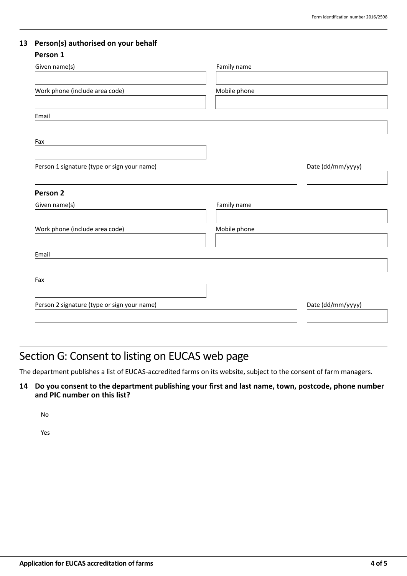### **13 Person(s) authorised on your behalf**

### **Person 1**

| Given name(s)                               | Family name       |
|---------------------------------------------|-------------------|
|                                             |                   |
| Work phone (include area code)              | Mobile phone      |
|                                             |                   |
|                                             |                   |
| Email                                       |                   |
|                                             |                   |
| Fax                                         |                   |
|                                             |                   |
| Person 1 signature (type or sign your name) | Date (dd/mm/yyyy) |
|                                             |                   |
|                                             |                   |
| Person 2                                    |                   |
| Given name(s)                               | Family name       |
|                                             |                   |
| Work phone (include area code)              | Mobile phone      |
|                                             |                   |
| Email                                       |                   |
|                                             |                   |
|                                             |                   |
| Fax                                         |                   |
|                                             |                   |
| Person 2 signature (type or sign your name) | Date (dd/mm/yyyy) |
|                                             |                   |
|                                             |                   |

# Section G: Consent to listing on EUCAS web page

The department publishes a list of EUCAS-accredited farms on its website, subject to the consent of farm managers.

**14 Do you consent to the department publishing your first and last name, town, postcode, phone number and PIC number on this list?**

No

Yes